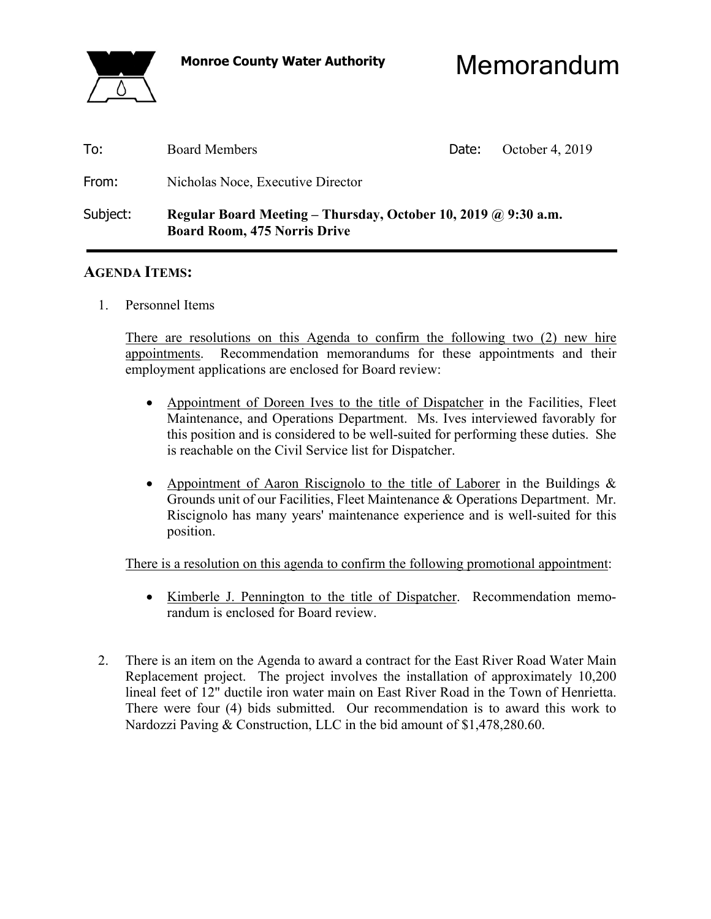

**Monroe County Water Authority** Memorandum

| To:      | <b>Board Members</b>                                                                                  | Date: | October 4, 2019 |
|----------|-------------------------------------------------------------------------------------------------------|-------|-----------------|
| From:    | Nicholas Noce, Executive Director                                                                     |       |                 |
| Subject: | Regular Board Meeting – Thursday, October 10, 2019 @ 9:30 a.m.<br><b>Board Room, 475 Norris Drive</b> |       |                 |

### **AGENDA ITEMS:**

1. Personnel Items

 There are resolutions on this Agenda to confirm the following two (2) new hire appointments. Recommendation memorandums for these appointments and their employment applications are enclosed for Board review:

- Appointment of Doreen Ives to the title of Dispatcher in the Facilities, Fleet Maintenance, and Operations Department. Ms. Ives interviewed favorably for this position and is considered to be well-suited for performing these duties. She is reachable on the Civil Service list for Dispatcher.
- Appointment of Aaron Riscignolo to the title of Laborer in the Buildings & Grounds unit of our Facilities, Fleet Maintenance & Operations Department. Mr. Riscignolo has many years' maintenance experience and is well-suited for this position.

There is a resolution on this agenda to confirm the following promotional appointment:

- Kimberle J. Pennington to the title of Dispatcher. Recommendation memorandum is enclosed for Board review.
- 2. There is an item on the Agenda to award a contract for the East River Road Water Main Replacement project. The project involves the installation of approximately 10,200 lineal feet of 12" ductile iron water main on East River Road in the Town of Henrietta. There were four (4) bids submitted. Our recommendation is to award this work to Nardozzi Paving & Construction, LLC in the bid amount of \$1,478,280.60.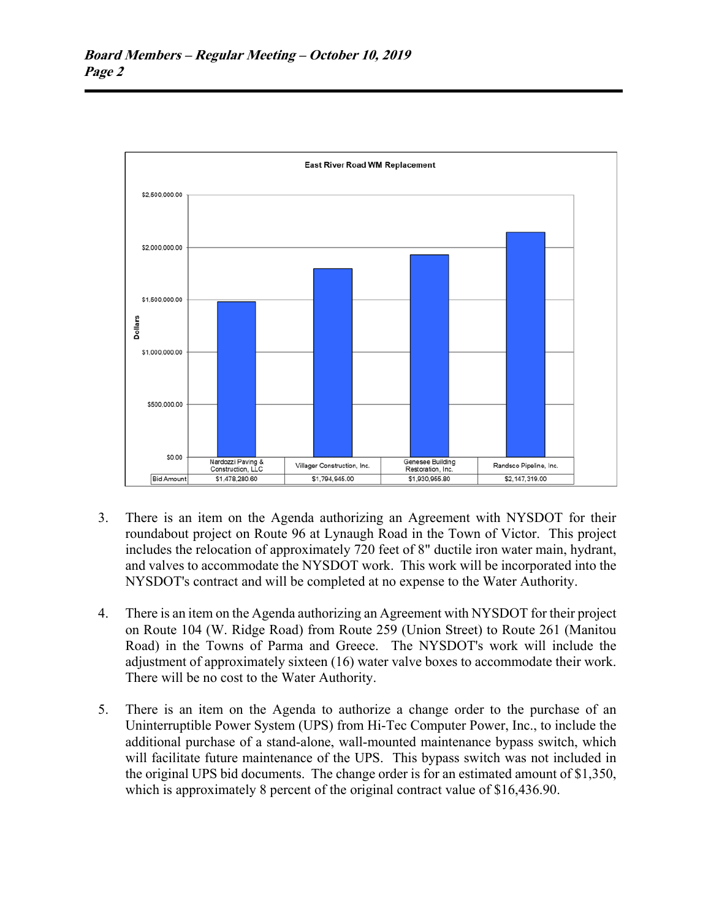

- 3. There is an item on the Agenda authorizing an Agreement with NYSDOT for their roundabout project on Route 96 at Lynaugh Road in the Town of Victor. This project includes the relocation of approximately 720 feet of 8" ductile iron water main, hydrant, and valves to accommodate the NYSDOT work. This work will be incorporated into the NYSDOT's contract and will be completed at no expense to the Water Authority.
- 4. There is an item on the Agenda authorizing an Agreement with NYSDOT for their project on Route 104 (W. Ridge Road) from Route 259 (Union Street) to Route 261 (Manitou Road) in the Towns of Parma and Greece. The NYSDOT's work will include the adjustment of approximately sixteen (16) water valve boxes to accommodate their work. There will be no cost to the Water Authority.
- 5. There is an item on the Agenda to authorize a change order to the purchase of an Uninterruptible Power System (UPS) from Hi-Tec Computer Power, Inc., to include the additional purchase of a stand-alone, wall-mounted maintenance bypass switch, which will facilitate future maintenance of the UPS. This bypass switch was not included in the original UPS bid documents. The change order is for an estimated amount of \$1,350, which is approximately 8 percent of the original contract value of \$16,436.90.